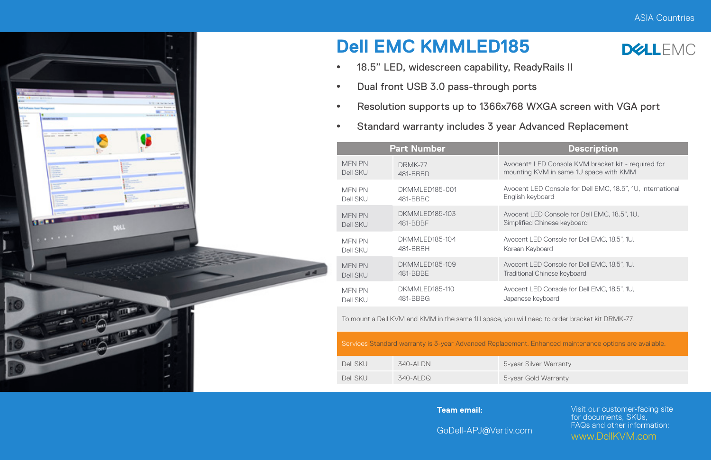

## **Dell EMC KMMLED185**



- <sup>\*</sup> 18.5" LED, widescreen capability, ReadyRails II
- Dual front USB 3.0 pass-through ports
- Resolution supports up to 1366x768 WXGA screen with VGA port
- **•** Standard warranty includes 3 year Advanced Replacement

|  | <b>Part Number</b>        |                             | <b>Description</b>                                                                            |  |  |
|--|---------------------------|-----------------------------|-----------------------------------------------------------------------------------------------|--|--|
|  | <b>MFN PN</b><br>Dell SKU | DRMK-77<br>481-BBBD         | Avocent® LED Console KVM bracket kit - required for<br>mounting KVM in same 1U space with KMM |  |  |
|  | <b>MFN PN</b><br>Dell SKU | DKMMI FD185-001<br>481-BBBC | Avocent LED Console for Dell EMC, 18.5", 1U, International<br>English keyboard                |  |  |
|  | <b>MEN PN</b><br>Dell SKU | DKMMI FD185-103<br>481-BBBF | Avocent LED Console for Dell EMC, 18.5", 1U.<br>Simplified Chinese keyboard                   |  |  |
|  | <b>MEN PN</b><br>Dell SKU | DKMMI FD185-104<br>481-BBBH | Avocent LED Console for Dell EMC, 18.5", 1U.<br>Korean Keyboard                               |  |  |
|  | <b>MEN PN</b><br>Dell SKU | DKMMI FD185-109<br>481-BBBF | Avocent LED Console for Dell EMC, 18.5", 1U.<br>Traditional Chinese keyboard                  |  |  |
|  | <b>MFN PN</b><br>Dell SKU | DKMMI FD185-110<br>481-BBBG | Avocent LED Console for Dell EMC, 18.5", 1U.<br>Japanese keyboard                             |  |  |
|  |                           |                             |                                                                                               |  |  |

To mount a Dell KVM and KMM in the same 1U space, you will need to order bracket kit DRMK-77.

Services Standard warranty is 3-year Advanced Replacement. Enhanced maintenance options are available.

| Dell SKU | 340-AI DN | 5-year Silver Warranty |
|----------|-----------|------------------------|
| Dell SKU | 340-AI DQ | 5-year Gold Warranty   |

## **Team email:**

Visit our customer-facing site for documents, SKUs, FAQs and other information: www.DellKVM.com

GoDell-APJ@Vertiv.com